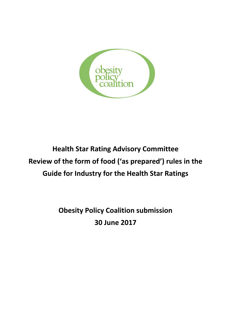

# **Health Star Rating Advisory Committee Review of the form of food ('as prepared') rules in the Guide for Industry for the Health Star Ratings**

**Obesity Policy Coalition submission 30 June 2017**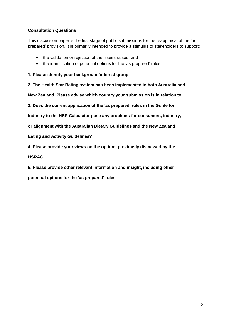### **Consultation Questions**

This discussion paper is the first stage of public submissions for the reappraisal of the 'as prepared' provision. It is primarily intended to provide a stimulus to stakeholders to support:

- the validation or rejection of the issues raised; and
- the identification of potential options for the 'as prepared' rules.

**1. Please identify your background/interest group.**

**2. The Health Star Rating system has been implemented in both Australia and**

**New Zealand. Please advise which country your submission is in relation to.**

**3. Does the current application of the 'as prepared' rules in the Guide for**

**Industry to the HSR Calculator pose any problems for consumers, industry,**

**or alignment with the Australian Dietary Guidelines and the New Zealand**

**Eating and Activity Guidelines?**

**4. Please provide your views on the options previously discussed by the**

**HSRAC.**

**5. Please provide other relevant information and insight, including other**

**potential options for the 'as prepared' rules**.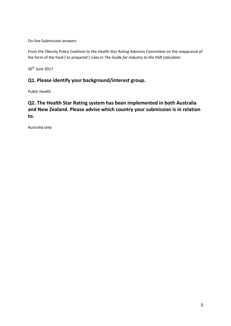On-line Submission answers

From the Obesity Policy Coalition to the Health Star Rating Advisory Committee on the reappraisal of the form of the food ('as prepared') rules in *The Guide for Industry to the HSR Calculator.*

 $30<sup>th</sup>$  June 2017

# **Q1. Please identify your background/interest group.**

Public Health

# **Q2. The Health Star Rating system has been implemented in both Australia and New Zealand. Please advise which country your submission is in relation to.**

Australia only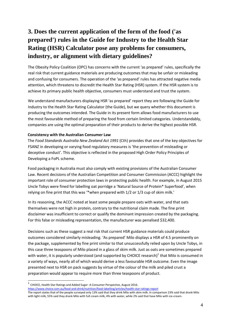# **3. Does the current application of the form of the food ('as prepared') rules in the Guide for Industry to the Health Star Rating (HSR) Calculator pose any problems for consumers, industry, or alignment with dietary guidelines?**

The Obesity Policy Coalition (OPC) has concerns with the current 'as prepared' rules, specifically the real risk that current guidance materials are producing outcomes that may be unfair or misleading and confusing for consumers. The operation of the 'as prepared' rules has attracted negative media attention, which threatens to discredit the Health Star Rating (HSR) system. If the HSR system is to achieve its primary public health objective, consumers must understand and trust the system.

We understand manufacturers displaying HSR 'as prepared' report they are following the Guide for Industry to the Health Star Rating Calculator (the Guide), but we query whether this document is producing the outcomes intended. The Guide in its present form allows food manufacturers to use the most favourable method of preparing the food from certain limited categories. Understandably, companies are using the optimal preparation of their products to derive the highest possible HSR.

#### **Consistency with the Australian Consumer Law**

The *Food Standards Australia New Zealand Act 1991* (Cth) provides that one of the key objectives for FSANZ in developing or varying food regulatory measures is 'the prevention of misleading or deceptive conduct'. This objective is reflected in the proposed High Order Policy Principles of Developing a FoPL scheme.

Food packaging in Australia must also comply with existing provisions of the Australian Consumer Law. Recent decisions of the Australian Competition and Consumer Commission (ACCC) highlight the important role of consumer protection laws in protecting public health. For example, in August 2015 Uncle Tobys were fined for labelling oat porridge a 'Natural Source of Protein\* Superfood', when relying on fine print that this was '\*when prepared with 1/2 or 1/3 cup of skim milk.'

In its reasoning, the ACCC noted at least some people prepare oats with water, and that oats themselves were not high in protein, contrary to the nutritional claim made. The fine print disclaimer was insufficient to correct or qualify the dominant impression created by the packaging. For this false or misleading representation, the manufacturer was penalised \$32,400.

Decisions such as these suggest a real risk that current HSR guidance materials could produce outcomes considered similarly misleading. 'As prepared' Milo displays a HSR of 4.5 prominently on the package, supplemented by fine print similar to that unsuccessfully relied upon by Uncle Tobys, in this case three teaspoons of Milo placed in a glass of skim milk. Just as oats are sometimes prepared with water, it is popularly understood (and supported by CHOICE research)<sup>1</sup> that Milo is consumed in a variety of ways, nearly all of which would derive a less favourable HSR outcome. Even the image presented next to HSR on pack suggests by virtue of the colour of the milk and piled crust a preparation would appear to require more than three teaspoons of product.

-

<sup>1</sup> CHOICE, Health Star Ratings and Added Sugar- A Consumer Perspective, August 2016. <https://www.choice.com.au/food-and-drink/nutrition/food-labelling/articles/health-star-ratings-report>

The report states that of the people surveyed only 13% said that they drink Milo with skim milk. In comparison 23% said that drank Milo with light milk, 55% said they drank Milo with full cream milk, 4% with water, while 2% said that have Milo with ice-cream.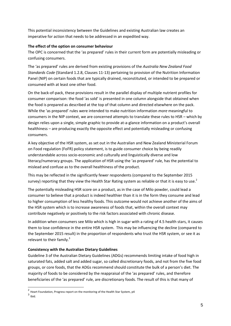This potential inconsistency between the Guidelines and existing Australian law creates an imperative for action that needs to be addressed in an expedited way.

#### **The effect of the option on consumer behaviour**

The OPC is concerned that the 'as prepared' rules in their current form are potentially misleading or confusing consumers.

The 'as prepared' rules are derived from existing provisions of the *Australia New Zealand Food Standards Code* (Standard 1.2.8, Clauses 11-13) pertaining to provision of the Nutrition Information Panel (NIP) on certain foods that are typically drained, reconstituted, or intended to be prepared or consumed with at least one other food.

On the back-of-pack, these provisions result in the parallel display of multiple nutrient profiles for consumer comparison: the food 'as sold' is presented in one column alongside that obtained when the food is prepared as described at the top of that column and directed elsewhere on the pack. While the 'as prepared' rules were intended to make nutrition information *more* meaningful to consumers in the NIP context, we are concerned attempts to translate these rules to HSR – which by design relies upon a single, simple graphic to provide at-a-glance information on a product's overall healthiness – are producing exactly the opposite effect and potentially misleading or confusing consumers.

A key objective of the HSR system, as set out in the Australian and New Zealand Ministerial Forum on Food regulation (FoFR) policy statement, is to guide consumer choice by being readily understandable across socio-economic and culturally and linguistically diverse and low literacy/numeracy groups. The application of HSR using the 'as prepared' rule, has the potential to mislead and confuse as to the overall healthiness of the product.

This may be reflected in the significantly fewer respondents (compared to the September 2015 survey) reporting that they view the Health Star Rating system as reliable or that it is easy to use.<sup>2</sup>

The potentially misleading HSR score on a product, as in the case of Milo powder, could lead a consumer to believe that a product is indeed healthier than it is in the form they consume and lead to higher consumption of less healthy foods. This outcome would not achieve another of the aims of the HSR system which is to increase awareness of foods that, within the overall context may contribute negatively or positively to the risk factors associated with chronic disease.

In addition when consumers see Milo which is high in sugar with a rating of 4.5 health stars, it causes them to lose confidence in the entire HSR system. This may be influencing the decline (compared to the September 2015 result) in the proportion of respondents who trust the HSR system, or see it as relevant to their family. $3$ 

#### **Consistency with the Australian Dietary Guidelines**

Guideline 3 of the Australian Dietary Guidelines (ADGs) recommends limiting intake of food high in saturated fats, added salt and added sugar, so called discretionary foods, and not from the five food groups, or core foods, that the ADGs recommend should constitute the bulk of a person's diet. The majority of foods to be considered by the reappraisal of the 'as prepared' rules, and therefore beneficiaries of the 'as prepared' rule, are discretionary foods. The result of this is that many of

 2 Heart Foundation, Progress report on the monitoring of the Health Star System, p4

 $3$  Ibid.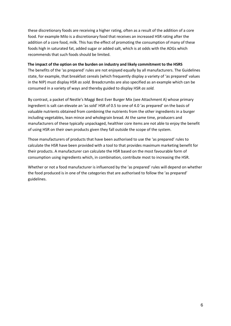these discretionary foods are receiving a higher rating, often as a result of the addition of a core food. For example Milo is a discretionary food that receives an increased HSR rating after the addition of a core food, milk. This has the effect of promoting the consumption of many of these foods high in saturated fat, added sugar or added salt, which is at odds with the ADGs which recommends that such foods should be limited.

#### **The impact of the option on the burden on industry and likely commitment to the HSRS**

The benefits of the 'as prepared' rules are not enjoyed equally by all manufacturers. The Guidelines state, for example, that breakfast cereals (which frequently display a variety of 'as prepared' values in the NIP) must display HSR *as sold.* Breadcrumbs are also specified as an example which can be consumed in a variety of ways and thereby guided to display HSR *as sold.* 

By contrast, a packet of Nestle's Maggi Best Ever Burger Mix (see Attachment A) whose primary ingredient is salt can elevate an 'as sold' HSR of 0.5 to one of 4.0 'as prepared' on the basis of valuable nutrients obtained from combining the nutrients from the other ingredients in a burger including vegetables, lean mince and wholegrain bread. At the same time, producers and manufacturers of these typically unpackaged, healthier core items are not able to enjoy the benefit of using HSR on their own products given they fall outside the scope of the system.

Those manufacturers of products that have been authorised to use the 'as prepared' rules to calculate the HSR have been provided with a tool to that provides maximum marketing benefit for their products. A manufacturer can calculate the HSR based on the most favourable form of consumption using ingredients which, in combination, contribute most to increasing the HSR.

Whether or not a food manufacturer is influenced by the 'as prepared' rules will depend on whether the food produced is in one of the categories that are authorised to follow the 'as prepared' guidelines.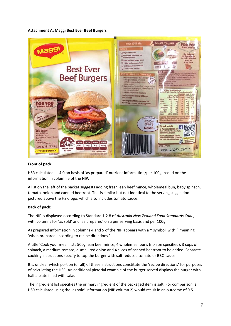#### **Attachment A: Maggi Best Ever Beef Burgers**



#### **Front of pack:**

HSR calculated as 4.0 on basis of 'as prepared' nutrient information/per 100g, based on the information in column 5 of the NIP.

A list on the left of the packet suggests adding fresh lean beef mince, wholemeal bun, baby spinach, tomato, onion and canned beetroot. This is similar but not identical to the serving suggestion pictured above the HSR logo, which also includes tomato sauce.

#### **Back of pack:**

The NIP is displayed according to Standard 1.2.8 of *Australia New Zealand Food Standards Code,*  with columns for 'as sold' and 'as prepared' on a per serving basis and per 100g.

As prepared information in columns 4 and 5 of the NIP appears with a  $\wedge$  symbol, with  $\wedge$  meaning 'when prepared according to recipe directions.'

A title 'Cook your meal' lists 500g lean beef mince, 4 wholemeal buns (no size specified), 3 cups of spinach, a medium tomato, a small red onion and 4 slices of canned beetroot to be added. Separate cooking instructions specify to top the burger with salt reduced tomato or BBQ sauce.

It is unclear which portion (or all) of these instructions constitute the 'recipe directions' for purposes of calculating the HSR. An additional pictorial example of the burger served displays the burger with half a plate filled with salad.

The ingredient list specifies the primary ingredient of the packaged item is salt. For comparison, a HSR calculated using the 'as sold' information (NIP column 2) would result in an outcome of 0.5.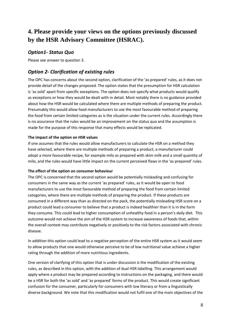# **4. Please provide your views on the options previously discussed by the HSR Advisory Committee (HSRAC).**

### *Option1- Status Quo*

Please see answer to question 3.

## *Option 2- Clarification of existing rules*

The OPC has concerns about the second option, clarification of the 'as prepared' rules, as it does not provide detail of the changes proposed. The option states that the presumption for HSR calculation is 'as sold' apart from specific exceptions. The option does not specify what products would qualify as exceptions or how they would be dealt with in detail. Most notably there is no guidance provided about how the HSR would be calculated where there are multiple methods of preparing the product. Presumably this would allow food manufacturers to use the most favourable method of preparing the food from certain limited categories as is the situation under the current rules. Accordingly there is no assurance that the rules would be an improvement on the status quo and the assumption is made for the purpose of this response that many effects would be replicated.

#### **The impact of the option on HSR values**

If one assumes that the rules would allow manufacturers to calculate the HSR on a method they have selected, where there are multiple methods of preparing a product, a manufacturer could adopt a more favourable recipe, for example milo as prepared with skim milk and a small quantity of milo, and the rules would have little impact on the current perceived flaws in the 'as prepared' rules.

#### **The effect of the option on consumer behaviour**

The OPC is concerned that the second option would be potentially misleading and confusing for consumers in the same way as the current 'as prepared' rules, as it would be open to food manufacturers to use the most favourable method of preparing the food from certain limited categories, where there are multiple methods of preparing the product. If these products are consumed in a different way than as directed on the pack, the potentially misleading HSR score on a product could lead a consumer to believe that a product is indeed healthier than it is in the form they consume. This could lead to higher consumption of unhealthy food in a person's daily diet. This outcome would not achieve the aim of the HSR system to increase awareness of foods that, within the overall context may contribute negatively or positively to the risk factors associated with chronic disease.

In addition this option could lead to a negative perception of the entire HSR system as it would seem to allow products that one would otherwise perceive to be of low nutritional value achieve a higher rating through the addition of more nutritious ingredients.

One version of clarifying of this option that is under discussion is the modification of the existing rules, as described in this option, with the addition of dual HSR labelling. This arrangement would apply where a product may be prepared according to instructions on the packaging, and there would be a HSR for both the 'as sold' and 'as prepared' forms of the product. This would create significant confusion for the consumer, particularly for consumers with low literacy or from a linguistically diverse background. We note that this modification would not fulfil one of the main objectives of the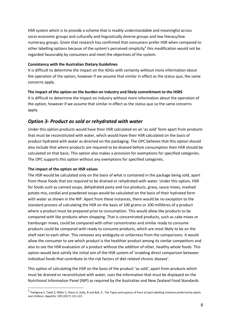HSR system which is to provide a scheme that is readily understandable and meaningful across socio-economic groups and culturally and linguistically diverse groups and low literacy/low numeracy groups. Given that research has confirmed that consumers prefer HSR when compared to other labelling options because of the system's perceived simplicity<sup>4</sup> this modification would not be regarded favourably by consumers and meet the objectives of the system.

#### **Consistency with the Australian Dietary Guidelines**

It is difficult to determine the impact on the ADGs with certainty without more information about the operation of the option, however if we assume that similar in effect as the status quo, the same concerns apply.

#### **The impact of the option on the burden on industry and likely commitment to the HSRS**

It is difficult to determine the impact on industry without more information about the operation of the option, however if we assume that similar in effect as the status quo so the same concerns apply.

### *Option 3- Product as sold or rehydrated with water*

Under this option products would have their HSR calculated on an 'as sold' form apart from products that must be reconstituted with water, which would have their HSR calculated on the basis of product hydrated with water as directed on the packaging. The OPC believes that this option should also include that where products are required to be drained before consumption their HSR should be calculated on that basis. This option also makes a provision for exemptions for specified categories. The OPC supports this option without any exemptions for specified categories.

#### **The impact of the option on HSR values**

The HSR would be calculated only on the basis of what is contained in the package being sold, apart from those foods that are required to be drained or rehydrated with water. Under this option, HSR for foods such as canned soups, dehydrated pasta and rice products, gravy, sauce mixes, mashed potato mix, cordial and powdered soups would be calculated on the basis of their hydrated form with water as shown in the NIP. Apart from these instances, there would be no exception to the standard process of calculating the HSR on the basis of 100 grams or 100 millilitres of a product where a product must be prepared prior to consumption. This would allow like products to be compared with like products when shopping. That is concentrated products, such as cake mixes or hamburger mixes, could be compared with other concentrates and similar ready to consume products could be compared with ready to consume products, which are most likely to be on the shelf next to each other. This removes any ambiguity or unfairness from the comparisons. It would allow the consumer to see which product is the healthier product among its similar competitors and also to see the HSR evaluation of a product without the addition of other, healthy whole foods. This option would best satisfy the initial aim of the HSR system of 'enabling direct comparison between individual foods that contribute to the risk factors of diet related chronic disease'.

This option of calculating the HSR on the basis of the product 'as sold', apart from products which must be drained or reconstituted with water, uses the information that must be displayed on the Nutritional Information Panel (NIP) as required by the Australian and New Zealand Food Standards

 4 Pettigrew S, Talati Z, Miller C, Dixon H, Kelly, B and Ball, K , The Types and aspects of front of pack labelling schemes preferred by adults and children, *Appetite,* 109 (2017) 115-123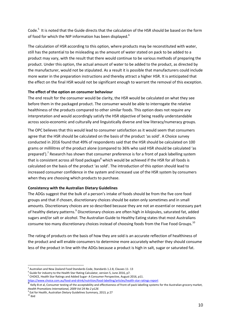Code.<sup>5</sup> It is noted that the Guide directs that the calculation of the HSR should be based on the form of food for which the NIP information has been displayed.<sup>6</sup>

The calculation of HSR according to this option, where products may be reconstituted with water, still has the potential to be misleading as the amount of water stated on pack to be added to a product may vary, with the result that there would continue to be various methods of preparing the product. Under this option, the actual amount of water to be added to the product, as directed by the manufacturer, would not be stipulated. As a result it is possible that manufacturers could include more water in the preparation instructions and thereby attract a higher HSR. It is anticipated that the effect on the final HSR would not be significant enough to warrant the removal of this exception.

#### **The effect of the option on consumer behaviour**

The end result for the consumer would be clarity, the HSR would be calculated on what they see before them in the packaged product. The consumer would be able to interrogate the relative healthiness of the products compared to other similar foods. This option does not require any interpretation and would accordingly satisfy the HSR objective of being readily understandable across socio-economic and culturally and linguistically diverse and low literacy/numeracy groups.

The OPC believes that this would lead to consumer satisfaction as it would seem that consumers agree that the HSR should be calculated on the basis of the product 'as sold'. A Choice survey conducted in 2016 found that 49% of respondents said that the HSR should be calculated on 100 grams or millilitres of the product alone (compared to 36% who said HSR should be calculated 'as prepared').<sup>7</sup> Research has shown that consumer preference is for a front of pack labelling system that is consistent across all food packages $^8$  which would be achieved if the HSR for all foods is calculated on the basis of the product 'as sold'. The introduction of this option should lead to increased consumer confidence in the system and increased use of the HSR system by consumers when they are choosing which products to purchase.

#### **Consistency with the Australian Dietary Guidelines**

The ADGs suggest that the bulk of a person's intake of foods should be from the five core food groups and that if chosen, discretionary choices should be eaten only sometimes and in small amounts. Discretionary choices are so described because they are not an essential or necessary part of healthy dietary patterns.<sup>9</sup> Discretionary choices are often high in kilojoules, saturated fat, added sugars and/or salt or alcohol. The Australian Guide to Healthy Eating states that most Australians consume too many discretionary choices instead of choosing foods from the Five Food Groups.<sup>10</sup>

The rating of products on the basis of how they are sold is an accurate reflection of healthiness of the product and will enable consumers to determine more accurately whether they should consume less of the product in line with the ADGs because a product is high in salt, sugar or saturated fat.

-

<sup>5</sup> Australian and New Zealand Food Standards Code, Standards 1.2.8, Clauses 11- 13

 $^6$  Guide for industry to the Health Star Rating Calculator, version 5, June 2016, p7.

 $^7$  CHOICE, Health Star Ratings and Added Sugar-A Consumer Perspective, August 2016, p11.

<https://www.choice.com.au/food-and-drink/nutrition/food-labelling/articles/health-star-ratings-report> 8

Kelly B et al, Consumer testing of the acceptability and effectiveness of front-of-pack labelling systems for the Australian grocery market, *Health Promotions International, 2009 Vol 24 No 2 p126*

<sup>9</sup> Eat for Health, Australian Dietary Guidelines Summary, 2013, p 27

 $10$  ibid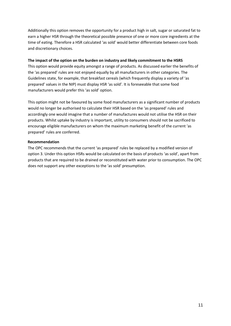Additionally this option removes the opportunity for a product high in salt, sugar or saturated fat to earn a higher HSR through the theoretical possible presence of one or more core ingredients at the time of eating. Therefore a HSR calculated 'as sold' would better differentiate between core foods and discretionary choices.

#### **The impact of the option on the burden on industry and likely commitment to the HSRS**

This option would provide equity amongst a range of products. As discussed earlier the benefits of the 'as prepared' rules are not enjoyed equally by all manufacturers in other categories. The Guidelines state, for example, that breakfast cereals (which frequently display a variety of 'as prepared' values in the NIP) must display HSR 'as sold'*.* It is foreseeable that some food manufacturers would prefer this 'as sold' option.

This option might not be favoured by some food manufacturers as a significant number of products would no longer be authorised to calculate their HSR based on the 'as prepared' rules and accordingly one would imagine that a number of manufactures would not utilise the HSR on their products. Whilst uptake by industry is important, utility to consumers should not be sacrificed to encourage eligible manufacturers on whom the maximum marketing benefit of the current 'as prepared' rules are conferred.

#### **Recommendation**

The OPC recommends that the current 'as prepared' rules be replaced by a modified version of option 3. Under this option HSRs would be calculated on the basis of products 'as sold', apart from products that are required to be drained or reconstituted with water prior to consumption. The OPC does not support any other exceptions to the 'as sold' presumption.